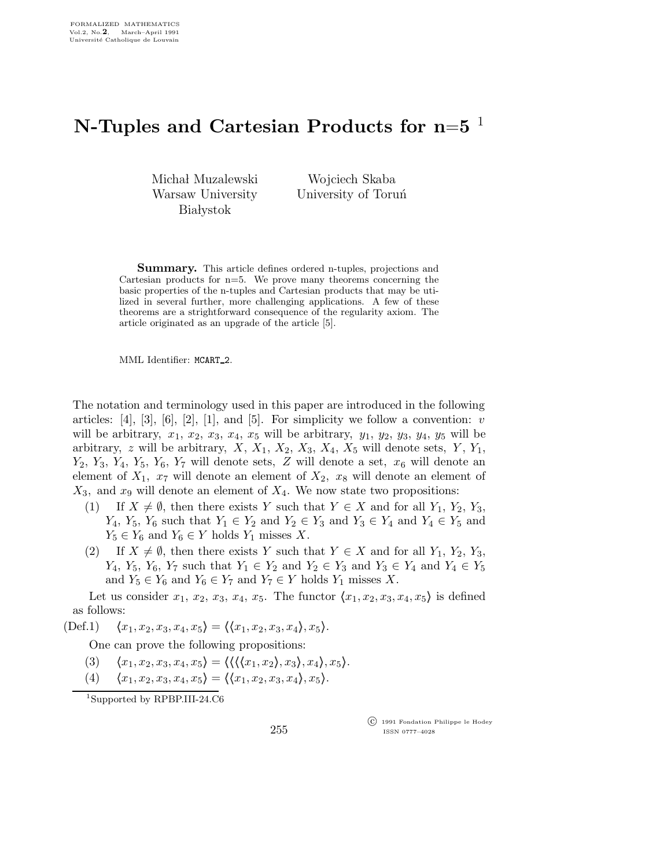## N-Tuples and Cartesian Products for n= $5^{-1}$

Michał Muzalewski Warsaw University **Białystok** 

Wojciech Skaba University of Toruń

Summary. This article defines ordered n-tuples, projections and Cartesian products for  $n=5$ . We prove many theorems concerning the basic properties of the n-tuples and Cartesian products that may be utilized in several further, more challenging applications. A few of these theorems are a strightforward consequence of the regularity axiom. The article originated as an upgrade of the article [5].

MML Identifier: MCART 2.

The notation and terminology used in this paper are introduced in the following articles:  $[4]$ ,  $[3]$ ,  $[6]$ ,  $[2]$ ,  $[1]$ , and  $[5]$ . For simplicity we follow a convention: *v* will be arbitrary,  $x_1, x_2, x_3, x_4, x_5$  will be arbitrary,  $y_1, y_2, y_3, y_4, y_5$  will be arbitrary, z will be arbitrary,  $X, X_1, X_2, X_3, X_4, X_5$  will denote sets,  $Y, Y_1$ ,  $Y_2$ ,  $Y_3$ ,  $Y_4$ ,  $Y_5$ ,  $Y_6$ ,  $Y_7$  will denote sets,  $Z$  will denote a set,  $x_6$  will denote an element of  $X_1$ ,  $x_7$  will denote an element of  $X_2$ ,  $x_8$  will denote an element of  $X_3$ , and  $x_9$  will denote an element of  $X_4$ . We now state two propositions:

- (1) If  $X \neq \emptyset$ , then there exists Y such that  $Y \in X$  and for all  $Y_1, Y_2, Y_3$ ,  $Y_4, Y_5, Y_6$  such that  $Y_1 \in Y_2$  and  $Y_2 \in Y_3$  and  $Y_3 \in Y_4$  and  $Y_4 \in Y_5$  and  $Y_5 \in Y_6$  and  $Y_6 \in Y$  holds  $Y_1$  misses X.
- (2) If  $X \neq \emptyset$ , then there exists Y such that  $Y \in X$  and for all  $Y_1, Y_2, Y_3$ ,  $Y_4, Y_5, Y_6, Y_7$  such that  $Y_1 \in Y_2$  and  $Y_2 \in Y_3$  and  $Y_3 \in Y_4$  and  $Y_4 \in Y_5$ and  $Y_5 \in Y_6$  and  $Y_6 \in Y_7$  and  $Y_7 \in Y$  holds  $Y_1$  misses X.

Let us consider  $x_1, x_2, x_3, x_4, x_5$ . The functor  $\langle x_1, x_2, x_3, x_4, x_5 \rangle$  is defined as follows:

(Def.1)  $\langle x_1,x_2,x_3,x_4,x_5 \rangle = \langle \langle x_1,x_2,x_3,x_4 \rangle, x_5 \rangle.$ 

One can prove the following propositions:

- (3)  $\langle x_1,x_2,x_3,x_4,x_5 \rangle = \langle \langle \langle x_1,x_2 \rangle, x_3 \rangle, x_4 \rangle, x_5 \rangle.$
- (4)  $\langle x_1,x_2,x_3,x_4,x_5 \rangle = \langle \langle x_1,x_2,x_3,x_4 \rangle, x_5 \rangle.$

<sup>1</sup>Supported by RPBP.III-24.C6

 c 1991 Fondation Philippe le Hodey ISSN 0777–4028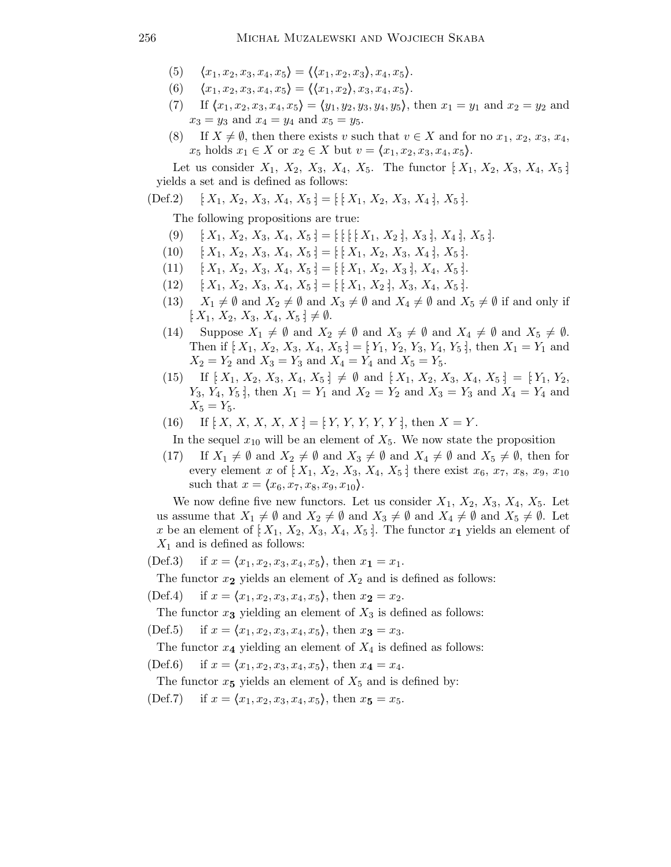- $\langle x_1, x_2, x_3, x_4, x_5 \rangle = \langle \langle x_1, x_2, x_3 \rangle, x_4, x_5 \rangle.$  $(5)$
- $\langle x_1, x_2, x_3, x_4, x_5 \rangle = \langle \langle x_1, x_2 \rangle, x_3, x_4, x_5 \rangle.$  $(6)$
- If  $\langle x_1, x_2, x_3, x_4, x_5 \rangle = \langle y_1, y_2, y_3, y_4, y_5 \rangle$ , then  $x_1 = y_1$  and  $x_2 = y_2$  and  $(7)$  $x_3 = y_3$  and  $x_4 = y_4$  and  $x_5 = y_5$ .
- If  $X \neq \emptyset$ , then there exists v such that  $v \in X$  and for no  $x_1, x_2, x_3, x_4$ ,  $(8)$  $x_5$  holds  $x_1 \in X$  or  $x_2 \in X$  but  $v = \langle x_1, x_2, x_3, x_4, x_5 \rangle$ .

Let us consider  $X_1, X_2, X_3, X_4, X_5$ . The functor  $[X_1, X_2, X_3, X_4, X_5]$ yields a set and is defined as follows:

$$
(Def.2) \quad [X_1, X_2, X_3, X_4, X_5] = [ [X_1, X_2, X_3, X_4], X_5].
$$

The following propositions are true:

- $[X_1, X_2, X_3, X_4, X_5] = [[1 X_1, X_2], X_3], X_4], X_5].$  $(9)$
- $[X_1, X_2, X_3, X_4, X_5] = [[X_1, X_2, X_3, X_4], X_5].$  $(10)$
- $[X_1, X_2, X_3, X_4, X_5] = [[X_1, X_2, X_3], X_4, X_5].$  $(11)$
- $[X_1, X_2, X_3, X_4, X_5] = [X_1, X_2], X_3, X_4, X_5].$  $(12)$
- $X_1 \neq \emptyset$  and  $X_2 \neq \emptyset$  and  $X_3 \neq \emptyset$  and  $X_4 \neq \emptyset$  and  $X_5 \neq \emptyset$  if and only if  $(13)$  $[X_1, X_2, X_3, X_4, X_5] \neq \emptyset.$
- Suppose  $X_1 \neq \emptyset$  and  $X_2 \neq \emptyset$  and  $X_3 \neq \emptyset$  and  $X_4 \neq \emptyset$  and  $X_5 \neq \emptyset$ .  $(14)$ Then if  $[X_1, X_2, X_3, X_4, X_5] = [Y_1, Y_2, Y_3, Y_4, Y_5]$ , then  $X_1 = Y_1$  and  $X_2 = Y_2$  and  $X_3 = Y_3$  and  $X_4 = Y_4$  and  $X_5 = Y_5$ .
- (15) If  $[X_1, X_2, X_3, X_4, X_5] \neq \emptyset$  and  $[X_1, X_2, X_3, X_4, X_5] = [Y_1, Y_2, Y_3]$  $Y_3, Y_4, Y_5$ , then  $X_1 = Y_1$  and  $X_2 = Y_2$  and  $X_3 = Y_3$  and  $X_4 = Y_4$  and  $X_5 = Y_5$ .
- If  $[X, X, X, X, X] = [Y, Y, Y, Y, Y]$ , then  $X = Y$ .  $(16)$

In the sequel  $x_{10}$  will be an element of  $X_5$ . We now state the proposition

If  $X_1 \neq \emptyset$  and  $X_2 \neq \emptyset$  and  $X_3 \neq \emptyset$  and  $X_4 \neq \emptyset$  and  $X_5 \neq \emptyset$ , then for  $(17)$ every element x of  $[X_1, X_2, X_3, X_4, X_5]$  there exist  $x_6, x_7, x_8, x_9, x_{10}$ such that  $x = (x_6, x_7, x_8, x_9, x_{10}).$ 

We now define five new functors. Let us consider  $X_1$ ,  $X_2$ ,  $X_3$ ,  $X_4$ ,  $X_5$ . Let us assume that  $X_1 \neq \emptyset$  and  $X_2 \neq \emptyset$  and  $X_3 \neq \emptyset$  and  $X_4 \neq \emptyset$  and  $X_5 \neq \emptyset$ . Let x be an element of  $[X_1, X_2, X_3, X_4, X_5]$ . The functor  $x_1$  yields an element of  $X_1$  and is defined as follows:

if  $x = (x_1, x_2, x_3, x_4, x_5)$ , then  $x_1 = x_1$ .  $(Def.3)$ 

The functor  $x_2$  yields an element of  $X_2$  and is defined as follows:

if  $x = \langle x_1, x_2, x_3, x_4, x_5 \rangle$ , then  $x_2 = x_2$ .  $(Def.4)$ 

The functor  $x_3$  yielding an element of  $X_3$  is defined as follows:

if  $x = (x_1, x_2, x_3, x_4, x_5)$ , then  $x_3 = x_3$ .  $(Def.5)$ 

The functor  $x_4$  yielding an element of  $X_4$  is defined as follows:

 $(Def.6)$ if  $x = (x_1, x_2, x_3, x_4, x_5)$ , then  $x_4 = x_4$ .

The functor  $x_5$  yields an element of  $X_5$  and is defined by:

if  $x = (x_1, x_2, x_3, x_4, x_5)$ , then  $x_5 = x_5$ .  $(Def.7)$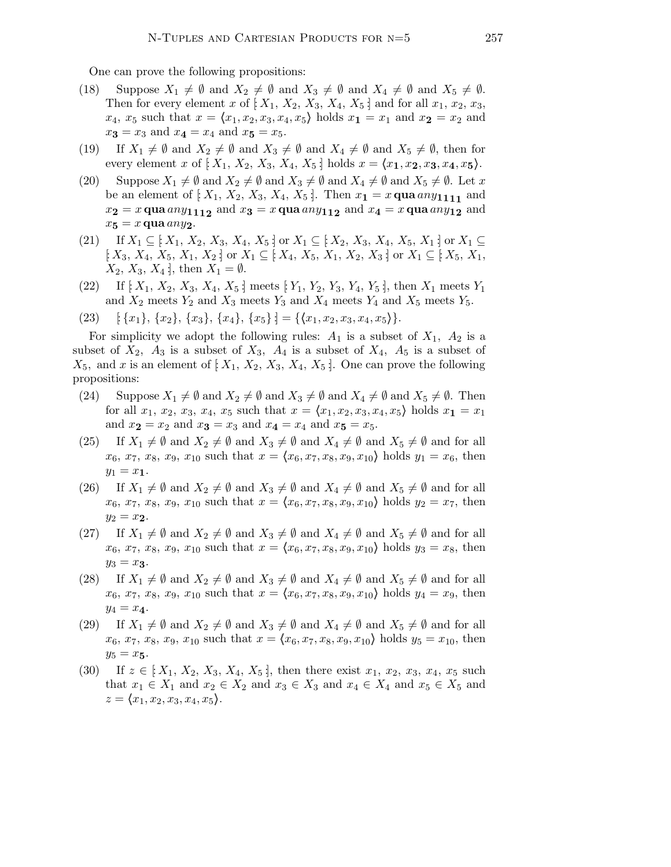One can prove the following propositions:

- (18) Suppose  $X_1 \neq \emptyset$  and  $X_2 \neq \emptyset$  and  $X_3 \neq \emptyset$  and  $X_4 \neq \emptyset$  and  $X_5 \neq \emptyset$ . Then for every element x of  $[X_1, X_2, X_3, X_4, X_5]$  and for all  $x_1, x_2, x_3$ ,  $x_4, x_5$  such that  $x = \langle x_1, x_2, x_3, x_4, x_5 \rangle$  holds  $x_1 = x_1$  and  $x_2 = x_2$  and  $x_3 = x_3$  and  $x_4 = x_4$  and  $x_5 = x_5$ .
- (19) If  $X_1 \neq \emptyset$  and  $X_2 \neq \emptyset$  and  $X_3 \neq \emptyset$  and  $X_4 \neq \emptyset$  and  $X_5 \neq \emptyset$ , then for every element x of  $[X_1, X_2, X_3, X_4, X_5]$  holds  $x = \langle x_1, x_2, x_3, x_4, x_5 \rangle$ .
- (20) Suppose  $X_1 \neq \emptyset$  and  $X_2 \neq \emptyset$  and  $X_3 \neq \emptyset$  and  $X_4 \neq \emptyset$  and  $X_5 \neq \emptyset$ . Let x be an element of  $[X_1, X_2, X_3, X_4, X_5]$ . Then  $x_1 = x$  qua  $\alpha ny_{1111}$  and  $x_{\mathbf{2}}=x\, \mathbf{q}$ ua  $any_{\mathbf{111_2}}$  and  $x_{\mathbf{3}}=x\, \mathbf{q}$ ua  $any_{\mathbf{11_2}}$  and  $x_{\mathbf{4}}=x\, \mathbf{q}$ ua  $any_{\mathbf{12}}$  and  $x_5 = x$  qua  $any_2$ .
- $(21)$  If  $X_1 \subseteq [X_1, X_2, X_3, X_4, X_5]$  or  $X_1 \subseteq [X_2, X_3, X_4, X_5, X_1]$  or  $X_1 \subseteq$  $[X_3, X_4, X_5, X_1, X_2]$  or  $X_1 \subseteq [X_4, X_5, X_1, X_2, X_3]$  or  $X_1 \subseteq [X_5, X_1, X_2]$  $X_2, X_3, X_4$ ; then  $X_1 = \emptyset$ .
- (22) If  $[X_1, X_2, X_3, X_4, X_5]$  meets  $[Y_1, Y_2, Y_3, Y_4, Y_5]$ , then  $X_1$  meets  $Y_1$ and  $X_2$  meets  $Y_2$  and  $X_3$  meets  $Y_3$  and  $X_4$  meets  $Y_4$  and  $X_5$  meets  $Y_5$ .

$$
(23) \quad [\{x_1\}, \{x_2\}, \{x_3\}, \{x_4\}, \{x_5\}] = \{\langle x_1, x_2, x_3, x_4, x_5 \rangle\}.
$$

For simplicity we adopt the following rules:  $A_1$  is a subset of  $X_1$ ,  $A_2$  is a subset of  $X_2$ ,  $A_3$  is a subset of  $X_3$ ,  $A_4$  is a subset of  $X_4$ ,  $A_5$  is a subset of  $X_5$ , and x is an element of  $[X_1, X_2, X_3, X_4, X_5]$ . One can prove the following propositions:

- (24) Suppose  $X_1 \neq \emptyset$  and  $X_2 \neq \emptyset$  and  $X_3 \neq \emptyset$  and  $X_4 \neq \emptyset$  and  $X_5 \neq \emptyset$ . Then for all  $x_1, x_2, x_3, x_4, x_5$  such that  $x = \langle x_1, x_2, x_3, x_4, x_5 \rangle$  holds  $x_1 = x_1$ and  $x_2 = x_2$  and  $x_3 = x_3$  and  $x_4 = x_4$  and  $x_5 = x_5$ .
- (25) If  $X_1 \neq \emptyset$  and  $X_2 \neq \emptyset$  and  $X_3 \neq \emptyset$  and  $X_4 \neq \emptyset$  and  $X_5 \neq \emptyset$  and for all  $x_6, x_7, x_8, x_9, x_{10}$  such that  $x = \langle x_6,x_7,x_8,x_9,x_{10} \rangle$  holds  $y_1 = x_6$ , then  $y_1 = x_1.$
- (26) If  $X_1 \neq \emptyset$  and  $X_2 \neq \emptyset$  and  $X_3 \neq \emptyset$  and  $X_4 \neq \emptyset$  and  $X_5 \neq \emptyset$  and for all  $x_6, x_7, x_8, x_9, x_{10}$  such that  $x = \langle x_6,x_7,x_8,x_9,x_{10} \rangle$  holds  $y_2 = x_7$ , then  $y_2 = x_2$ .
- (27) If  $X_1 \neq \emptyset$  and  $X_2 \neq \emptyset$  and  $X_3 \neq \emptyset$  and  $X_4 \neq \emptyset$  and  $X_5 \neq \emptyset$  and for all  $x_6, x_7, x_8, x_9, x_{10}$  such that  $x = \langle x_6, x_7, x_8, x_9, x_{10} \rangle$  holds  $y_3 = x_8$ , then  $y_3 = x_3.$
- (28) If  $X_1 \neq \emptyset$  and  $X_2 \neq \emptyset$  and  $X_3 \neq \emptyset$  and  $X_4 \neq \emptyset$  and  $X_5 \neq \emptyset$  and for all  $x_6, x_7, x_8, x_9, x_{10}$  such that  $x = \langle x_6, x_7, x_8, x_9, x_{10} \rangle$  holds  $y_4 = x_9$ , then  $y_4 = x_4.$
- (29) If  $X_1 \neq \emptyset$  and  $X_2 \neq \emptyset$  and  $X_3 \neq \emptyset$  and  $X_4 \neq \emptyset$  and  $X_5 \neq \emptyset$  and for all  $x_6, x_7, x_8, x_9, x_{10}$  such that  $x = \langle x_6, x_7, x_8, x_9, x_{10} \rangle$  holds  $y_5 = x_{10}$ , then  $y_5 = x_5.$
- (30) If  $z \in [X_1, X_2, X_3, X_4, X_5]$ , then there exist  $x_1, x_2, x_3, x_4, x_5$  such that  $x_1 \in X_1$  and  $x_2 \in X_2$  and  $x_3 \in X_3$  and  $x_4 \in X_4$  and  $x_5 \in X_5$  and  $z = \langle x_1,x_2,x_3,x_4,x_5 \rangle.$